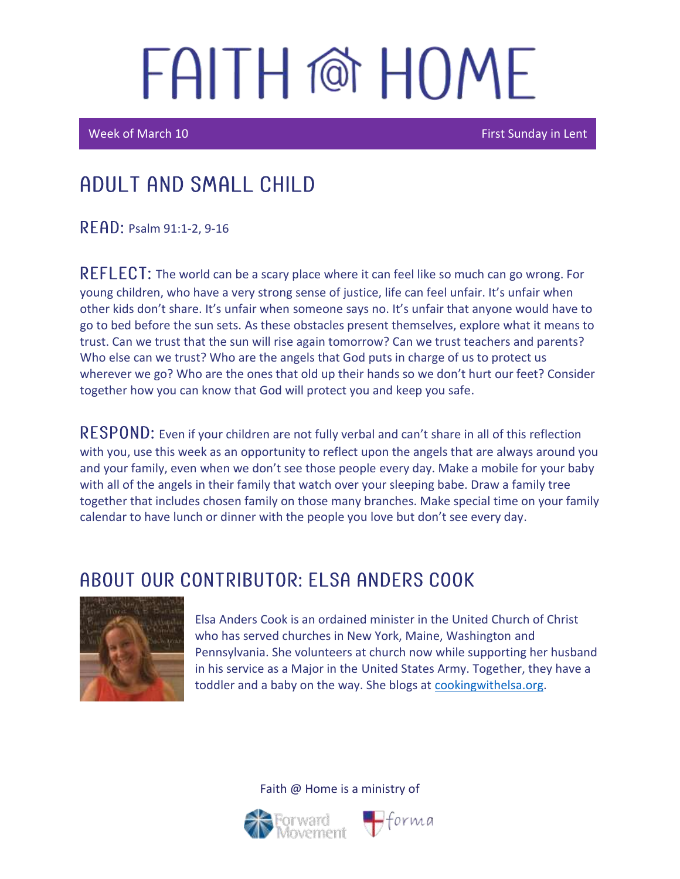Week of March 10 First Sunday in Lent

## Adult and Small Child

 $READ:$  Psalm 91:1-2, 9-16

REFLECT: The world can be a scary place where it can feel like so much can go wrong. For young children, who have a very strong sense of justice, life can feel unfair. It's unfair when other kids don't share. It's unfair when someone says no. It's unfair that anyone would have to go to bed before the sun sets. As these obstacles present themselves, explore what it means to trust. Can we trust that the sun will rise again tomorrow? Can we trust teachers and parents? Who else can we trust? Who are the angels that God puts in charge of us to protect us wherever we go? Who are the ones that old up their hands so we don't hurt our feet? Consider together how you can know that God will protect you and keep you safe.

 **Even if your children are not fully verbal and can't share in all of this reflection** with you, use this week as an opportunity to reflect upon the angels that are always around you and your family, even when we don't see those people every day. Make a mobile for your baby with all of the angels in their family that watch over your sleeping babe. Draw a family tree together that includes chosen family on those many branches. Make special time on your family calendar to have lunch or dinner with the people you love but don't see every day.

#### ABOUT OUR CONTRIBUTOR: ELSA ANDERS COOK



Elsa Anders Cook is an ordained minister in the United Church of Christ who has served churches in New York, Maine, Washington and Pennsylvania. She volunteers at church now while supporting her husband in his service as a Major in the United States Army. Together, they have a toddler and a baby on the way. She blogs at [cookingwithelsa.org.](https://cookingwithelsa.org/)



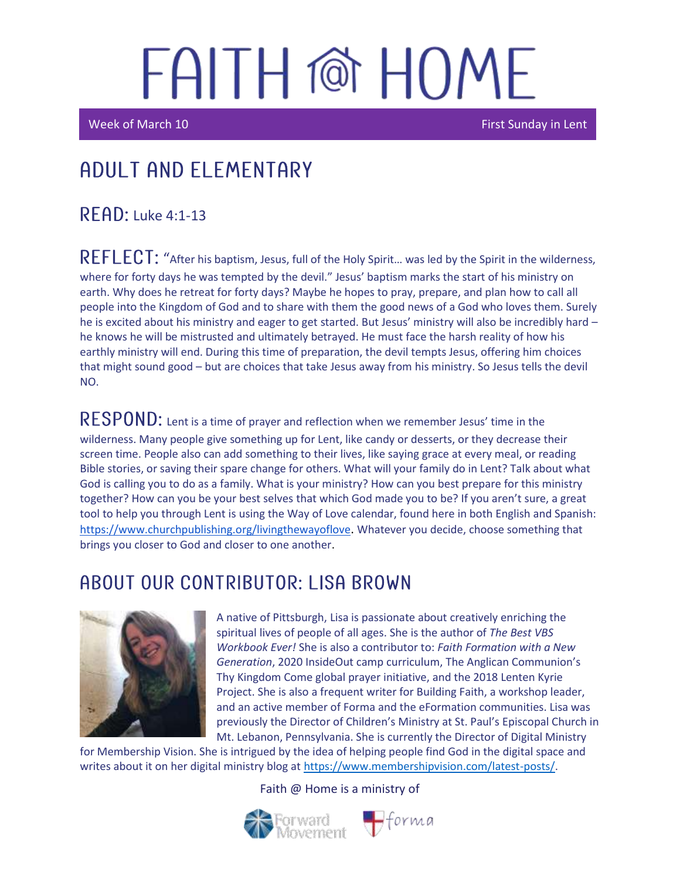i<br>I

I

Week of March 10 First Sunday in Lent

## Adult and elementary

 $R$  FAD: Luke 4:1-13

REFLECT: "After his baptism, Jesus, full of the Holy Spirit... was led by the Spirit in the wilderness, where for forty days he was tempted by the devil." Jesus' baptism marks the start of his ministry on earth. Why does he retreat for forty days? Maybe he hopes to pray, prepare, and plan how to call all people into the Kingdom of God and to share with them the good news of a God who loves them. Surely he is excited about his ministry and eager to get started. But Jesus' ministry will also be incredibly hard – he knows he will be mistrusted and ultimately betrayed. He must face the harsh reality of how his earthly ministry will end. During this time of preparation, the devil tempts Jesus, offering him choices that might sound good – but are choices that take Jesus away from his ministry. So Jesus tells the devil NO.

 $\mathsf{RESPOND}\text{: }$  Lent is a time of prayer and reflection when we remember Jesus' time in the wilderness. Many people give something up for Lent, like candy or desserts, or they decrease their screen time. People also can add something to their lives, like saying grace at every meal, or reading Bible stories, or saving their spare change for others. What will your family do in Lent? Talk about what God is calling you to do as a family. What is your ministry? How can you best prepare for this ministry together? How can you be your best selves that which God made you to be? If you aren't sure, a great tool to help you through Lent is using the Way of Love calendar, found here in both English and Spanish: <https://www.churchpublishing.org/livingthewayoflove>. Whatever you decide, choose something that brings you closer to God and closer to one another.

#### ABOUT OUR CONTRIBUTOR: LISA BROWN



A native of Pittsburgh, Lisa is passionate about creatively enriching the spiritual lives of people of all ages. She is the author of *The Best VBS Workbook Ever!* She is also a contributor to: *Faith Formation with a New Generation*, 2020 InsideOut camp curriculum, The Anglican Communion's Thy Kingdom Come global prayer initiative, and the 2018 Lenten Kyrie Project. She is also a frequent writer for Building Faith, a workshop leader, and an active member of Forma and the eFormation communities. Lisa was previously the Director of Children's Ministry at St. Paul's Episcopal Church in Mt. Lebanon, Pennsylvania. She is currently the Director of Digital Ministry

for Membership Vision. She is intrigued by the idea of helping people find God in the digital space and writes about it on her digital ministry blog at [https://www.membershipvision.com/latest-posts/.](https://www.membershipvision.com/latest-posts/)

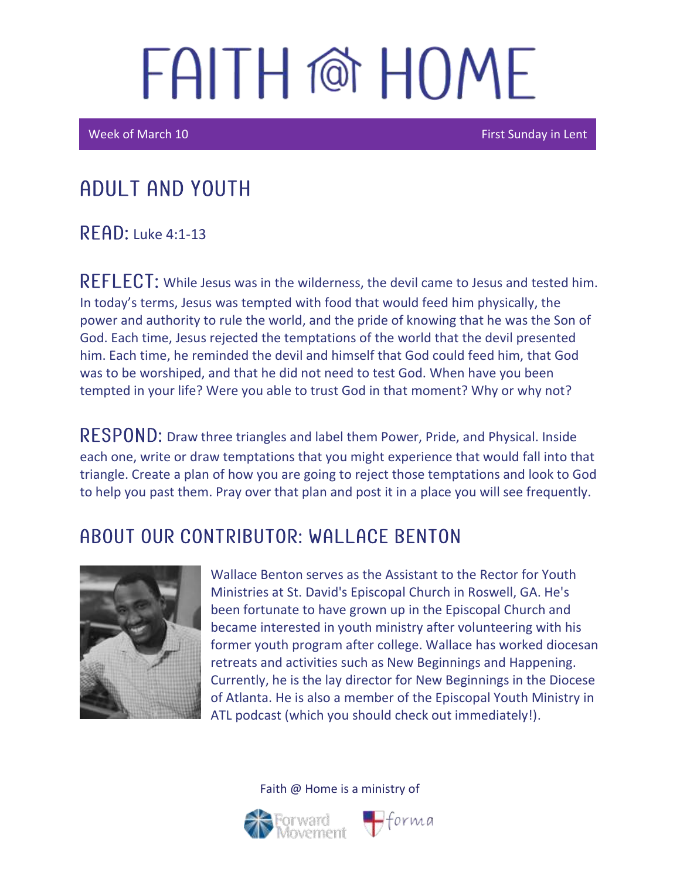**Week of March 10** First Sunday in Lent

### Adult and youth

 $R$   $F$  $A$  $D$ : Luke 4:1-13

REFLECT: While Jesus was in the wilderness, the devil came to Jesus and tested him. In today's terms, Jesus was tempted with food that would feed him physically, the power and authority to rule the world, and the pride of knowing that he was the Son of God. Each time, Jesus rejected the temptations of the world that the devil presented him. Each time, he reminded the devil and himself that God could feed him, that God was to be worshiped, and that he did not need to test God. When have you been tempted in your life? Were you able to trust God in that moment? Why or why not?

RESPOND: Draw three triangles and label them Power, Pride, and Physical. Inside each one, write or draw temptations that you might experience that would fall into that triangle. Create a plan of how you are going to reject those temptations and look to God to help you past them. Pray over that plan and post it in a place you will see frequently.

#### A BOUT OUR CONTRIBUTOR: WALL ACE BENTON



Wallace Benton serves as the Assistant to the Rector for Youth Ministries at St. David's Episcopal Church in Roswell, GA. He's been fortunate to have grown up in the Episcopal Church and became interested in youth ministry after volunteering with his former youth program after college. Wallace has worked diocesan retreats and activities such as New Beginnings and Happening. Currently, he is the lay director for New Beginnings in the Diocese of Atlanta. He is also a member of the Episcopal Youth Ministry in ATL podcast (which you should check out immediately!).